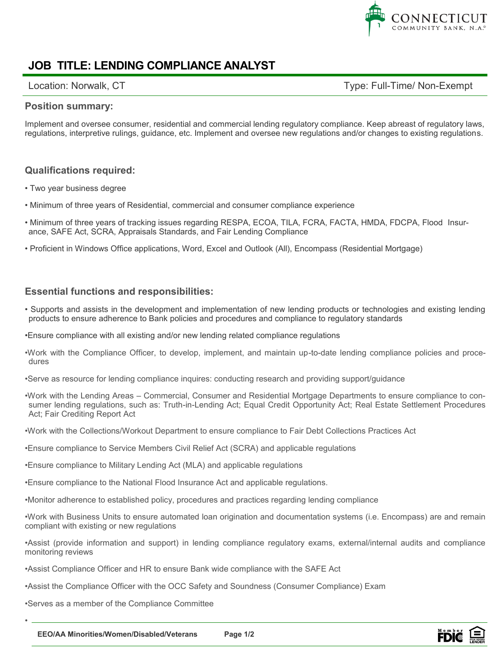

# **JOB TITLE: LENDING COMPLIANCE ANALYST**

Location: Norwalk, CT example and the control of the Type: Full-Time/ Non-Exempt

#### **Position summary:**

Implement and oversee consumer, residential and commercial lending regulatory compliance. Keep abreast of regulatory laws, regulations, interpretive rulings, guidance, etc. Implement and oversee new regulations and/or changes to existing regulations.

### **Qualifications required:**

- Two year business degree
- Minimum of three years of Residential, commercial and consumer compliance experience
- Minimum of three years of tracking issues regarding RESPA, ECOA, TILA, FCRA, FACTA, HMDA, FDCPA, Flood Insurance, SAFE Act, SCRA, Appraisals Standards, and Fair Lending Compliance
- Proficient in Windows Office applications, Word, Excel and Outlook (All), Encompass (Residential Mortgage)

#### **Essential functions and responsibilities:**

- Supports and assists in the development and implementation of new lending products or technologies and existing lending products to ensure adherence to Bank policies and procedures and compliance to regulatory standards
- •Ensure compliance with all existing and/or new lending related compliance regulations
- •Work with the Compliance Officer, to develop, implement, and maintain up-to-date lending compliance policies and procedures
- •Serve as resource for lending compliance inquires: conducting research and providing support/guidance
- •Work with the Lending Areas Commercial, Consumer and Residential Mortgage Departments to ensure compliance to consumer lending regulations, such as: Truth-in-Lending Act; Equal Credit Opportunity Act; Real Estate Settlement Procedures Act; Fair Crediting Report Act
- •Work with the Collections/Workout Department to ensure compliance to Fair Debt Collections Practices Act
- •Ensure compliance to Service Members Civil Relief Act (SCRA) and applicable regulations
- •Ensure compliance to Military Lending Act (MLA) and applicable regulations
- •Ensure compliance to the National Flood Insurance Act and applicable regulations.
- •Monitor adherence to established policy, procedures and practices regarding lending compliance

•Work with Business Units to ensure automated loan origination and documentation systems (i.e. Encompass) are and remain compliant with existing or new regulations

•Assist (provide information and support) in lending compliance regulatory exams, external/internal audits and compliance monitoring reviews

•Assist Compliance Officer and HR to ensure Bank wide compliance with the SAFE Act

•Assist the Compliance Officer with the OCC Safety and Soundness (Consumer Compliance) Exam

•Serves as a member of the Compliance Committee

•